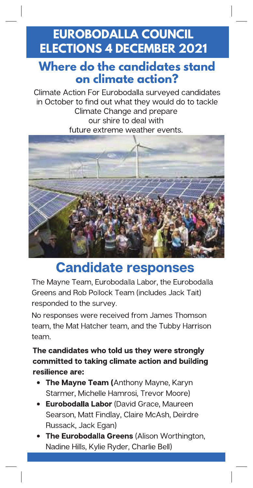# **EUROBODALLA COUNCIL ELECTIONS 4 DECEMBER 2021**

#### **Where do the candidates stand on climate action?**

Climate Action For Eurobodalla surveyed candidates in October to find out what they would do to tackle Climate Change and prepare our shire to deal with future extreme weather events.



# Candidate responses

The Mayne Team, Eurobodalla Labor, the Eurobodalla Greens and Rob Pollock Team (includes Jack Tait) responded to the survey.

No responses were received from James Thomson team, the Mat Hatcher team, and the Tubby Harrison team.

The candidates who told us they were strongly committed to taking climate action and building resilience are:

- The Mayne Team (Anthony Mayne, Karyn Starmer, Michelle Hamrosi, Trevor Moore)
- **Eurobodalla Labor** (David Grace, Maureen Searson, Matt Findlay, Claire McAsh, Deirdre Russack, Jack Egan)
- The Eurobodalla Greens (Alison Worthington, Nadine Hills, Kylie Ryder, Charlie Bell)